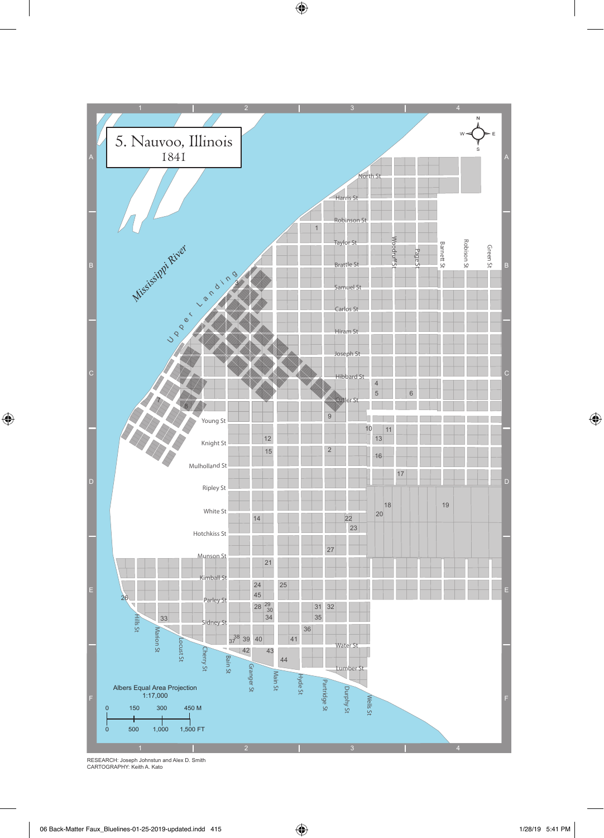

RESEARCH: Joseph Johnstun and Alex D. Smith CARTOGRAPHY: Keith A. Kato